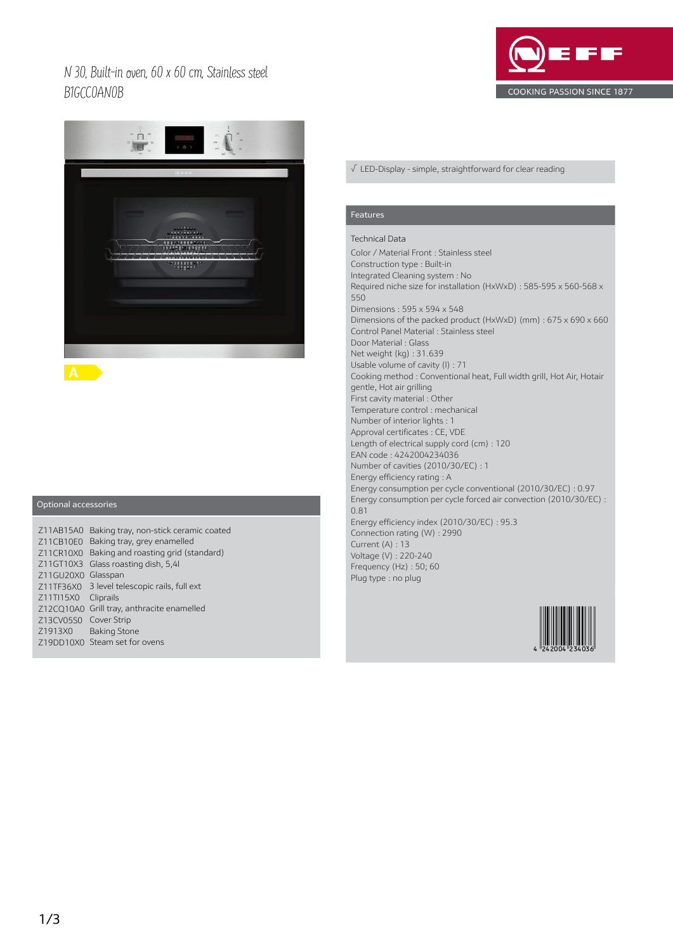## N 30, Built-in oven, 60 x 60 cm, Stainless steel B1GCC0AN0B





## Optional accessories

|                       | Z11AB15A0 Baking tray, non-stick ceramic coated |
|-----------------------|-------------------------------------------------|
|                       | Z11CB10E0 Baking tray, grey enamelled           |
|                       | Z11CR10X0 Baking and roasting grid (standard)   |
|                       | Z11GT10X3 Glass roasting dish, 5,41             |
| Z11GU20X0 Glasspan    |                                                 |
|                       | Z11TF36X0 3 level telescopic rails, full ext    |
| Z11TI15X0 Cliprails   |                                                 |
|                       | Z12CQ10A0 Grill tray, anthracite enamelled      |
| Z13CV05S0 Cover Strip |                                                 |
|                       | Z1913X0 Baking Stone                            |
|                       | Z19DD10X0 Steam set for ovens                   |

#### √ LED-Display - simple, straightforward for clear reading

#### Features

## Technical Data

Color / Material Front : Stainless steel Construction type : Built-in Integrated Cleaning system : No Required niche size for installation (HxWxD) : 585-595 x 560-568 x 550 Dimensions : 595 x 594 x 548 Dimensions of the packed product (HxWxD) (mm) : 675 x 690 x 660 Control Panel Material : Stainless steel Door Material : Glass Net weight (kg) : 31.639 Usable volume of cavity (l) : 71 Cooking method : Conventional heat, Full width grill, Hot Air, Hotair gentle, Hot air grilling First cavity material : Other Temperature control : mechanical Number of interior lights : 1 Approval certificates : CE, VDE Length of electrical supply cord (cm) : 120 EAN code : 4242004234036 Number of cavities (2010/30/EC) : 1 Energy efficiency rating : A Energy consumption per cycle conventional (2010/30/EC) : 0.97 Energy consumption per cycle forced air convection (2010/30/EC) : 0.81 Energy efficiency index (2010/30/EC) : 95.3 Connection rating (W) : 2990 Current (A) : 13 Voltage (V) : 220-240 Frequency (Hz) : 50; 60 Plug type : no plug

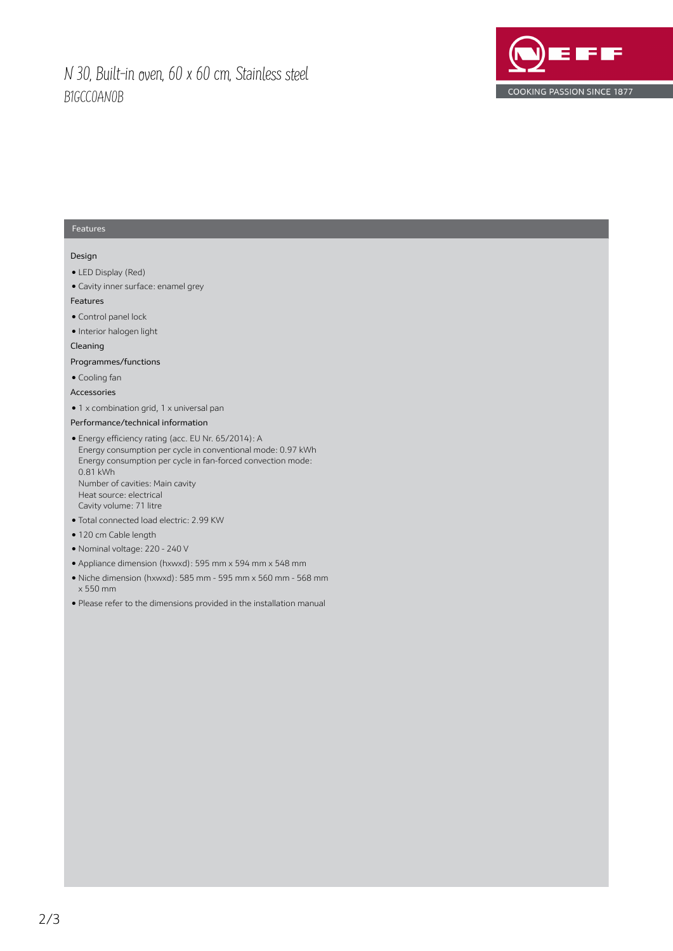## N 30, Built-in oven, 60 x 60 cm, Stainless steel B1GCC0AN0B



### Features

#### Design

- LED Display (Red)
- Cavity inner surface: enamel grey

#### Features

- Control panel lock
- Interior halogen light

#### Cleaning

### Programmes/functions

- Cooling fan
- Accessories
- 1 x combination grid, 1 x universal pan

#### Performance/technical information

- Energy efficiency rating (acc. EU Nr. 65/2014): A Energy consumption per cycle in conventional mode: 0.97 kWh Energy consumption per cycle in fan-forced convection mode: 0.81 kWh Number of cavities: Main cavity Heat source: electrical Cavity volume: 71 litre
- Total connected load electric: 2.99 KW
- 120 cm Cable length
- Nominal voltage: 220 240 V
- Appliance dimension (hxwxd): 595 mm x 594 mm x 548 mm
- Niche dimension (hxwxd): 585 mm 595 mm x 560 mm 568 mm x 550 mm
- Please refer to the dimensions provided in the installation manual